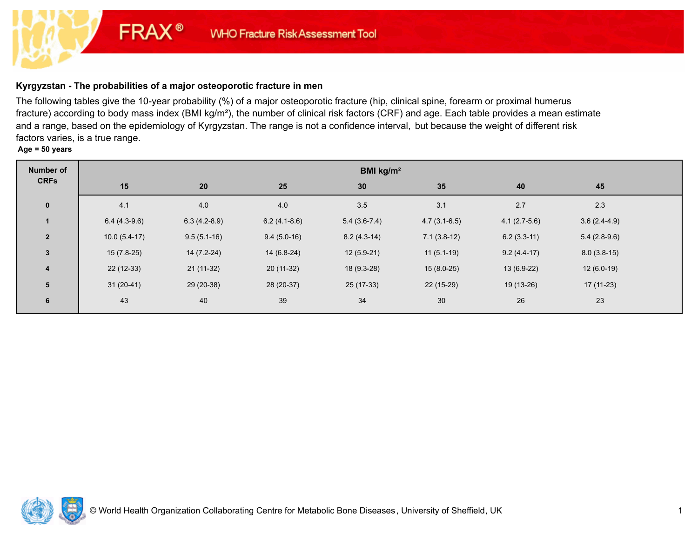# **Kyrgyzstan - The probabilities of a major osteoporotic fracture in men**

**FRAX®** 

The following tables give the 10-year probability (%) of a major osteoporotic fracture (hip, clinical spine, forearm or proximal humerus fracture) according to body mass index (BMI kg/m²), the number of clinical risk factors (CRF) and age. Each table provides a mean estimate and a range, based on the epidemiology of Kyrgyzstan. The range is not a confidence interval, but because the weight of different risk factors varies, is a true range.

**Age = 50 years**

| <b>Number of</b> | BMI kg/m <sup>2</sup> |                |                |                |                |                |                |  |
|------------------|-----------------------|----------------|----------------|----------------|----------------|----------------|----------------|--|
| <b>CRFs</b>      | 15                    | 20             | 25             | 30             | 35             | 40             | 45             |  |
| $\mathbf 0$      | 4.1                   | 4.0            | 4.0            | 3.5            | 3.1            | 2.7            | 2.3            |  |
| $\mathbf{1}$     | $6.4(4.3-9.6)$        | $6.3(4.2-8.9)$ | $6.2(4.1-8.6)$ | $5.4(3.6-7.4)$ | $4.7(3.1-6.5)$ | $4.1(2.7-5.6)$ | $3.6(2.4-4.9)$ |  |
| $\overline{2}$   | $10.0(5.4-17)$        | $9.5(5.1-16)$  | $9.4(5.0-16)$  | $8.2(4.3-14)$  | $7.1(3.8-12)$  | $6.2(3.3-11)$  | $5.4(2.8-9.6)$ |  |
| $\mathbf{3}$     | $15(7.8-25)$          | $14(7.2-24)$   | $14(6.8-24)$   | $12(5.9-21)$   | $11(5.1-19)$   | $9.2(4.4-17)$  | $8.0(3.8-15)$  |  |
| 4                | $22(12-33)$           | $21(11-32)$    | $20(11-32)$    | 18 (9.3-28)    | $15(8.0-25)$   | $13(6.9-22)$   | $12(6.0-19)$   |  |
| $5\phantom{1}$   | $31(20-41)$           | 29 (20-38)     | 28 (20-37)     | $25(17-33)$    | 22 (15-29)     | 19 (13-26)     | $17(11-23)$    |  |
| 6                | 43                    | 40             | 39             | 34             | 30             | 26             | 23             |  |

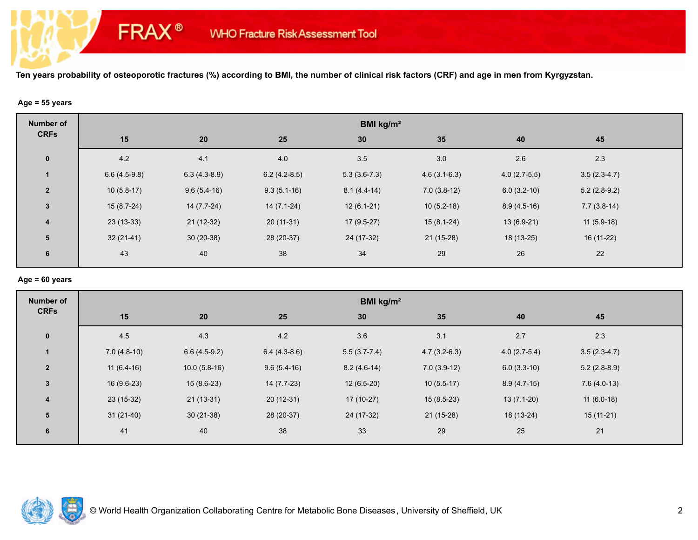### **Age = 55 years**

**FRAX®** 

| <b>Number of</b>        | BMI kg/m <sup>2</sup> |                |                |                |                |                |                |  |  |
|-------------------------|-----------------------|----------------|----------------|----------------|----------------|----------------|----------------|--|--|
| <b>CRFs</b>             | 15                    | 20             | 25             | 30             | 35             | 40             | 45             |  |  |
| $\mathbf 0$             | 4.2                   | 4.1            | 4.0            | 3.5            | 3.0            | 2.6            | 2.3            |  |  |
| $\mathbf{1}$            | $6.6(4.5-9.8)$        | $6.3(4.3-8.9)$ | $6.2(4.2-8.5)$ | $5.3(3.6-7.3)$ | $4.6(3.1-6.3)$ | $4.0(2.7-5.5)$ | $3.5(2.3-4.7)$ |  |  |
| $\overline{2}$          | $10(5.8-17)$          | $9.6(5.4-16)$  | $9.3(5.1-16)$  | $8.1(4.4-14)$  | $7.0(3.8-12)$  | $6.0(3.2-10)$  | $5.2(2.8-9.2)$ |  |  |
| $\mathbf{3}$            | $15(8.7-24)$          | $14(7.7-24)$   | $14(7.1-24)$   | $12(6.1-21)$   | $10(5.2-18)$   | $8.9(4.5-16)$  | $7.7(3.8-14)$  |  |  |
| $\overline{\mathbf{4}}$ | $23(13-33)$           | $21(12-32)$    | $20(11-31)$    | $17(9.5-27)$   | $15(8.1-24)$   | $13(6.9-21)$   | $11(5.9-18)$   |  |  |
| 5                       | $32(21-41)$           | $30(20-38)$    | 28 (20-37)     | 24 (17-32)     | $21(15-28)$    | 18 (13-25)     | $16(11-22)$    |  |  |
| 6                       | 43                    | 40             | 38             | 34             | 29             | 26             | 22             |  |  |
|                         |                       |                |                |                |                |                |                |  |  |

### **Age = 60 years**

| <b>Number of</b> | BMI kg/m <sup>2</sup> |                |                |                  |                |                |                |  |  |
|------------------|-----------------------|----------------|----------------|------------------|----------------|----------------|----------------|--|--|
| <b>CRFs</b>      | 15                    | 20             | 25             | 30               | 35             | 40             | 45             |  |  |
| $\mathbf 0$      | 4.5                   | 4.3            | 4.2            | 3.6              | 3.1            | 2.7            | 2.3            |  |  |
|                  | $7.0(4.8-10)$         | $6.6(4.5-9.2)$ | $6.4(4.3-8.6)$ | $5.5(3.7 - 7.4)$ | $4.7(3.2-6.3)$ | $4.0(2.7-5.4)$ | $3.5(2.3-4.7)$ |  |  |
| $\overline{2}$   | $11(6.4-16)$          | $10.0(5.8-16)$ | $9.6(5.4-16)$  | $8.2(4.6-14)$    | $7.0(3.9-12)$  | $6.0(3.3-10)$  | $5.2(2.8-8.9)$ |  |  |
| $\mathbf{3}$     | $16(9.6-23)$          | $15(8.6-23)$   | $14(7.7-23)$   | $12(6.5-20)$     | $10(5.5-17)$   | $8.9(4.7-15)$  | $7.6(4.0-13)$  |  |  |
| $\overline{4}$   | $23(15-32)$           | $21(13-31)$    | $20(12-31)$    | $17(10-27)$      | $15(8.5-23)$   | $13(7.1-20)$   | $11(6.0-18)$   |  |  |
| 5                | $31(21-40)$           | $30(21-38)$    | 28 (20-37)     | 24 (17-32)       | $21(15-28)$    | 18 (13-24)     | 15 (11-21)     |  |  |
| 6                | 41                    | 40             | 38             | 33               | 29             | 25             | 21             |  |  |

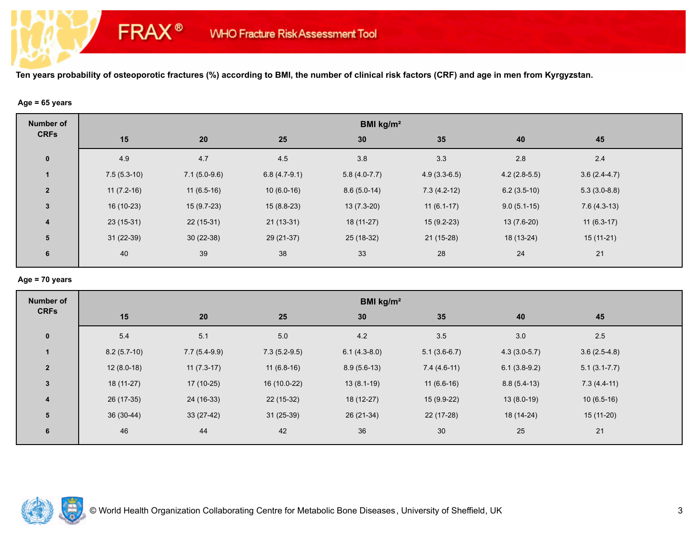### **Age = 65 years**

**FRAX®** 

| <b>Number of</b>        | BMI kg/m <sup>2</sup> |                |                |                |                |                |                |  |  |
|-------------------------|-----------------------|----------------|----------------|----------------|----------------|----------------|----------------|--|--|
| <b>CRFs</b>             | 15                    | 20             | 25             | 30             | 35             | 40             | 45             |  |  |
| $\mathbf 0$             | 4.9                   | 4.7            | 4.5            | 3.8            | 3.3            | 2.8            | 2.4            |  |  |
| $\mathbf{1}$            | $7.5(5.3-10)$         | $7.1(5.0-9.6)$ | $6.8(4.7-9.1)$ | $5.8(4.0-7.7)$ | $4.9(3.3-6.5)$ | $4.2(2.8-5.5)$ | $3.6(2.4-4.7)$ |  |  |
| $\overline{2}$          | $11(7.2-16)$          | $11(6.5-16)$   | $10(6.0-16)$   | $8.6(5.0-14)$  | $7.3(4.2-12)$  | $6.2(3.5-10)$  | $5.3(3.0-8.8)$ |  |  |
| $\mathbf{3}$            | $16(10-23)$           | $15(9.7-23)$   | $15(8.8-23)$   | $13(7.3-20)$   | $11(6.1-17)$   | $9.0(5.1-15)$  | $7.6(4.3-13)$  |  |  |
| $\overline{\mathbf{4}}$ | $23(15-31)$           | $22(15-31)$    | $21(13-31)$    | $18(11-27)$    | $15(9.2-23)$   | $13(7.6-20)$   | $11(6.3-17)$   |  |  |
| 5                       | $31(22-39)$           | $30(22-38)$    | 29 (21-37)     | $25(18-32)$    | $21(15-28)$    | 18 (13-24)     | 15 (11-21)     |  |  |
| 6                       | 40                    | 39             | 38             | 33             | 28             | 24             | 21             |  |  |

# **Age = 70 years**

| <b>Number of</b> | BMI kg/m <sup>2</sup> |                |                |                |                |                |                  |  |
|------------------|-----------------------|----------------|----------------|----------------|----------------|----------------|------------------|--|
| <b>CRFs</b>      | 15                    | 20             | 25             | 30             | 35             | 40             | 45               |  |
| $\mathbf 0$      | 5.4                   | 5.1            | 5.0            | 4.2            | 3.5            | 3.0            | $2.5\,$          |  |
| $\mathbf{1}$     | $8.2(5.7-10)$         | $7.7(5.4-9.9)$ | $7.3(5.2-9.5)$ | $6.1(4.3-8.0)$ | $5.1(3.6-6.7)$ | $4.3(3.0-5.7)$ | $3.6(2.5-4.8)$   |  |
| $\overline{2}$   | $12(8.0-18)$          | $11(7.3-17)$   | $11(6.8-16)$   | $8.9(5.6-13)$  | $7.4(4.6-11)$  | $6.1(3.8-9.2)$ | $5.1(3.1 - 7.7)$ |  |
| $\mathbf{3}$     | $18(11-27)$           | $17(10-25)$    | 16 (10.0-22)   | $13(8.1-19)$   | $11(6.6-16)$   | $8.8(5.4-13)$  | $7.3(4.4-11)$    |  |
| $\boldsymbol{4}$ | 26 (17-35)            | 24 (16-33)     | $22(15-32)$    | 18 (12-27)     | $15(9.9-22)$   | $13(8.0-19)$   | $10(6.5-16)$     |  |
| 5                | 36 (30-44)            | $33(27-42)$    | $31(25-39)$    | $26(21-34)$    | $22(17-28)$    | 18 (14-24)     | $15(11-20)$      |  |
| 6                | 46                    | 44             | 42             | 36             | 30             | 25             | 21               |  |

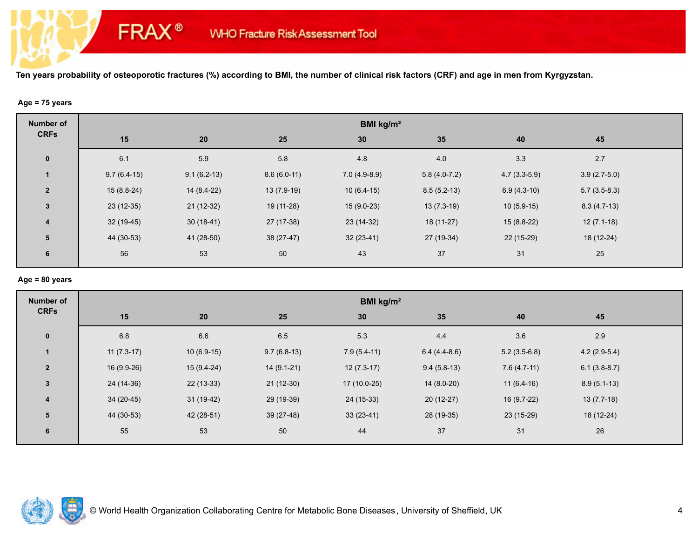### **Age = 75 years**

**FRAX®** 

| <b>Number of</b>        | BMI kg/m <sup>2</sup> |               |               |                |                |                |                |  |
|-------------------------|-----------------------|---------------|---------------|----------------|----------------|----------------|----------------|--|
| <b>CRFs</b>             | 15                    | 20            | 25            | 30             | 35             | 40             | 45             |  |
| $\mathbf 0$             | 6.1                   | 5.9           | 5.8           | 4.8            | 4.0            | 3.3            | 2.7            |  |
|                         | $9.7(6.4-15)$         | $9.1(6.2-13)$ | $8.6(6.0-11)$ | $7.0(4.9-8.9)$ | $5.8(4.0-7.2)$ | $4.7(3.3-5.9)$ | $3.9(2.7-5.0)$ |  |
| $\overline{2}$          | $15(8.8-24)$          | $14(8.4-22)$  | $13(7.9-19)$  | $10(6.4-15)$   | $8.5(5.2-13)$  | $6.9(4.3-10)$  | $5.7(3.5-8.3)$ |  |
| $\mathbf{3}$            | $23(12-35)$           | $21(12-32)$   | 19 (11-28)    | $15(9.0-23)$   | $13(7.3-19)$   | $10(5.9-15)$   | $8.3(4.7-13)$  |  |
| $\overline{\mathbf{4}}$ | $32(19-45)$           | $30(18-41)$   | 27 (17-38)    | 23 (14-32)     | $18(11-27)$    | $15(8.8-22)$   | $12(7.1-18)$   |  |
| 5                       | 44 (30-53)            | 41 (28-50)    | $38(27-47)$   | $32(23-41)$    | 27 (19-34)     | $22(15-29)$    | 18 (12-24)     |  |
| 6                       | 56                    | 53            | 50            | 43             | 37             | 31             | 25             |  |

## **Age = 80 years**

| <b>Number of</b> | BMI kg/m <sup>2</sup> |              |               |               |                |                |                |  |
|------------------|-----------------------|--------------|---------------|---------------|----------------|----------------|----------------|--|
| <b>CRFs</b>      | 15                    | 20           | 25            | 30            | 35             | 40             | 45             |  |
| $\mathbf 0$      | 6.8                   | 6.6          | 6.5           | 5.3           | 4.4            | 3.6            | 2.9            |  |
| $\mathbf{1}$     | $11(7.3-17)$          | $10(6.9-15)$ | $9.7(6.8-13)$ | $7.9(5.4-11)$ | $6.4(4.4-8.6)$ | $5.2(3.5-6.8)$ | $4.2(2.9-5.4)$ |  |
| $\overline{2}$   | 16 (9.9-26)           | $15(9.4-24)$ | $14(9.1-21)$  | $12(7.3-17)$  | $9.4(5.8-13)$  | $7.6(4.7-11)$  | $6.1(3.8-8.7)$ |  |
| $\mathbf{3}$     | 24 (14-36)            | $22(13-33)$  | $21(12-30)$   | 17 (10.0-25)  | $14(8.0-20)$   | $11(6.4-16)$   | $8.9(5.1-13)$  |  |
| $\boldsymbol{4}$ | $34(20-45)$           | $31(19-42)$  | 29 (19-39)    | 24 (15-33)    | $20(12-27)$    | $16(9.7-22)$   | $13(7.7-18)$   |  |
| 5                | 44 (30-53)            | 42 (28-51)   | $39(27-48)$   | $33(23-41)$   | 28 (19-35)     | $23(15-29)$    | 18 (12-24)     |  |
| 6                | 55                    | 53           | 50            | 44            | 37             | 31             | 26             |  |